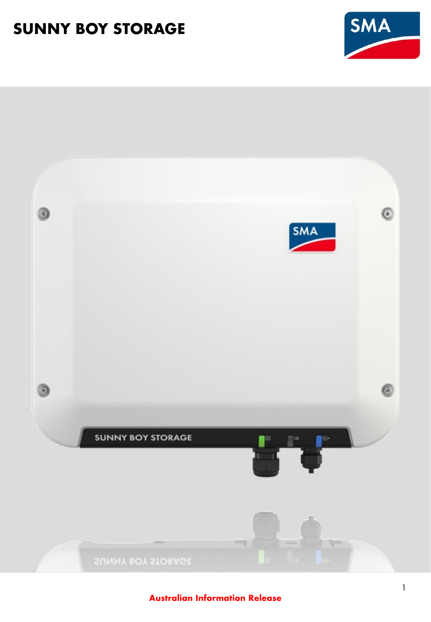

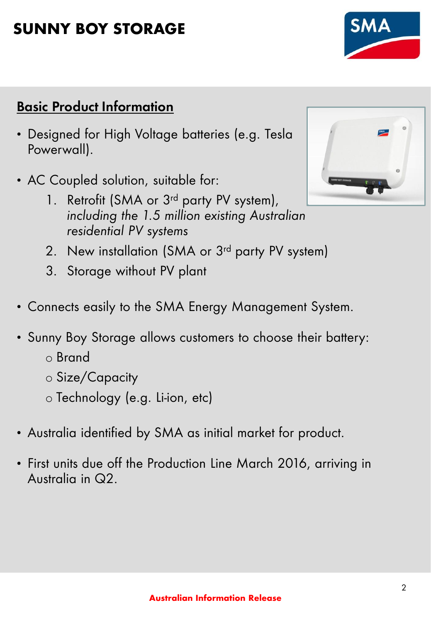# **Basic Product Information**

- Designed for High Voltage batteries (e.g. Tesla Powerwall).
- AC Coupled solution, suitable for:
	- 1. Retrofit (SMA or 3<sup>rd</sup> party PV system), *including the 1.5 million existing Australian residential PV systems*
	- 2. New installation (SMA or 3<sup>rd</sup> party PV system)
	- 3. Storage without PV plant
- Connects easily to the SMA Energy Management System.
- Sunny Boy Storage allows customers to choose their battery:
	- o Brand
	- o Size/Capacity
	- o Technology (e.g. Li-ion, etc)
- Australia identified by SMA as initial market for product.
- First units due off the Production Line March 2016, arriving in Australia in Q2.



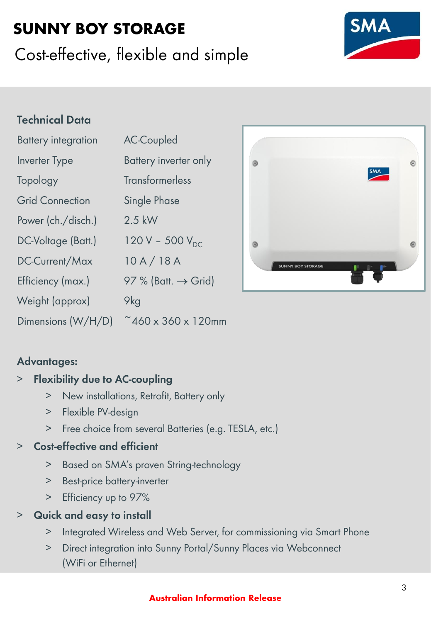# Cost-effective, flexible and simple

## **Technical Data**

| <b>Battery integration</b> | <b>AC-Coupled</b>               |  |  |
|----------------------------|---------------------------------|--|--|
| <b>Inverter Type</b>       | Battery inverter only           |  |  |
| Topology                   | <b>Transformerless</b>          |  |  |
| <b>Grid Connection</b>     | <b>Single Phase</b>             |  |  |
| Power (ch./disch.)         | $2.5$ kW                        |  |  |
| DC-Voltage (Batt.)         | 120 V - 500 $V_{DC}$            |  |  |
| DC-Current/Max             | 10A/18A                         |  |  |
| Efficiency (max.)          | 97 % (Batt. $\rightarrow$ Grid) |  |  |
| Weight (approx)            | 9kg                             |  |  |
| Dimensions (W/H/D)         | $~460 \times 360 \times 120$ mm |  |  |

### **Advantages:**

### > **Flexibility due to AC-coupling**

- > New installations, Retrofit, Battery only
- > Flexible PV-design
- > Free choice from several Batteries (e.g. TESLA, etc.)

### > **Cost-effective and efficient**

- > Based on SMA's proven String-technology
- > Best-price battery-inverter
- > Efficiency up to 97%

### > **Quick and easy to install**

- > Integrated Wireless and Web Server, for commissioning via Smart Phone
- > Direct integration into Sunny Portal/Sunny Places via Webconnect (WiFi or Ethernet)



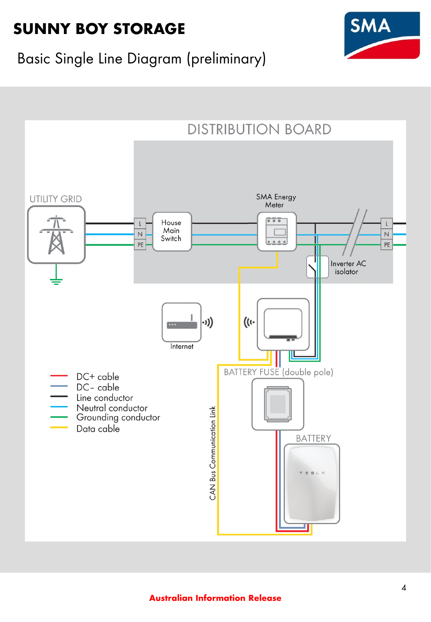

# Basic Single Line Diagram (preliminary)

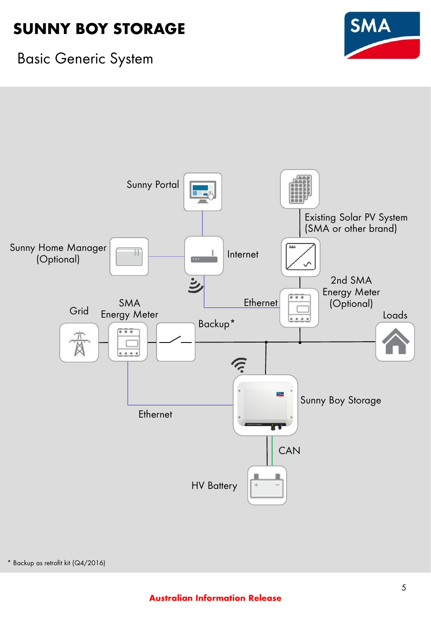

## Basic Generic System

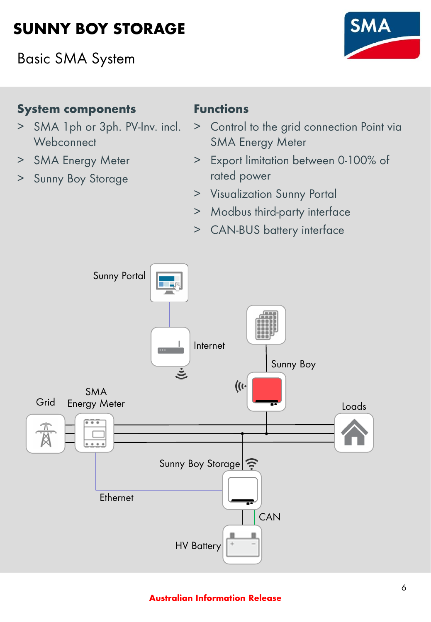Basic SMA System



### **System components**

- > SMA 1ph or 3ph. PV-Inv. incl. **Webconnect**
- > SMA Energy Meter
- > Sunny Boy Storage

## **Functions**

- > Control to the grid connection Point via SMA Energy Meter
- > Export limitation between 0-100% of rated power
- > Visualization Sunny Portal
- > Modbus third-party interface
- > CAN-BUS battery interface

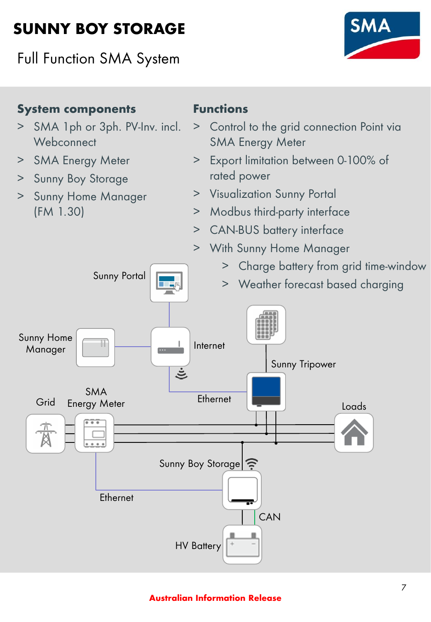Full Function SMA System



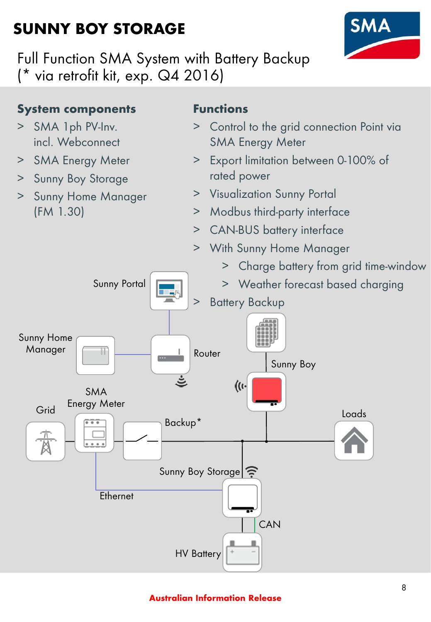

Full Function SMA System with Battery Backup (\* via retrofit kit, exp. Q4 2016)